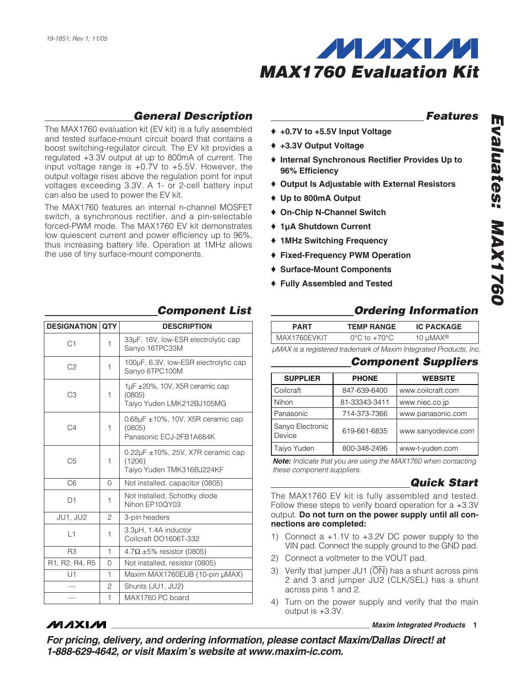

# *General Description*

The MAX1760 evaluation kit (EV kit) is a fully assembled and tested surface-mount circuit board that contains a boost switching-regulator circuit. The EV kit provides a regulated +3.3V output at up to 800mA of current. The input voltage range is +0.7V to +5.5V. However, the output voltage rises above the regulation point for input voltages exceeding 3.3V. A 1- or 2-cell battery input can also be used to power the EV kit.

The MAX1760 features an internal n-channel MOSFET switch, a synchronous rectifier, and a pin-selectable forced-PWM mode. The MAX1760 EV kit demonstrates low quiescent current and power efficiency up to 96%, thus increasing battery life. Operation at 1MHz allows the use of tiny surface-mount components.

### *Features*

- ♦ **+0.7V to +5.5V Input Voltage**
- ♦ **+3.3V Output Voltage**
- ♦ **Internal Synchronous Rectifier Provides Up to 96% Efficiency**
- ♦ **Output Is Adjustable with External Resistors**
- ♦ **Up to 800mA Output**
- ♦ **On-Chip N-Channel Switch**
- ♦ **1µA Shutdown Current**
- ♦ **1MHz Switching Frequency**
- ♦ **Fixed-Frequency PWM Operation**
- ♦ **Surface-Mount Components**
- ♦ **Fully Assembled and Tested**

| <b>DESIGNATION QTY</b> |   | <b>DESCRIPTION</b>                                                               |
|------------------------|---|----------------------------------------------------------------------------------|
| C <sub>1</sub>         | 1 | 33µF, 16V, low-ESR electrolytic cap<br>Sanyo 16TPC33M                            |
| C <sub>2</sub>         | 1 | 100µF, 6.3V, low-ESR electrolytic cap<br>Sanyo 6TPC100M                          |
| C <sub>3</sub>         | 1 | $1\mu$ F $\pm$ 20%, 10V, X5R ceramic cap<br>(0805)<br>Taiyo Yuden LMK212BJ105MG  |
| C <sub>4</sub>         | 1 | $0.68\mu$ F $\pm$ 10%, 10V, X5R ceramic cap<br>(0805)<br>Panasonic ECJ-2FB1A684K |
| C <sub>5</sub>         | 1 | 0.22µF ±10%, 25V, X7R ceramic cap<br>(1206)<br>Taiyo Yuden TMK316BJ224KF         |
| C6                     | 0 | Not installed, capacitor (0805)                                                  |
| D1                     | 1 | Not installed, Schottky diode<br>Nihon EP10QY03                                  |
| JU1, JU2               | 2 | 3-pin headers                                                                    |
| 1                      | 1 | 3.3µH, 1.4A inductor<br>Coilcraft DO1606T-332                                    |
| R <sub>3</sub>         | 1 | $4.7\Omega \pm 5\%$ resistor (0805)                                              |
| R1, R2, R4, R5         | 0 | Not installed, resistor (0805)                                                   |
| U1                     | 1 | Maxim MAX1760EUB (10-pin µMAX)                                                   |
|                        | 2 | Shunts (JU1, JU2)                                                                |
|                        | 1 | MAX1760 PC board                                                                 |

**MAXM** 

# *Component List*

# *Ordering Information*

| <b>TEMP RANGE</b>                 | <b>IC PACKAGE</b> |
|-----------------------------------|-------------------|
| $0^{\circ}$ C to +70 $^{\circ}$ C | 10 µMAX®          |
|                                   |                   |

*µMAX is a registered trademark of Maxim Integrated Products, Inc.*

#### *Component Suppliers*

| <b>SUPPLIER</b>            | <b>PHONE</b>  | <b>WEBSITE</b>      |
|----------------------------|---------------|---------------------|
| Coilcraft                  | 847-639-6400  | www.coilcraft.com   |
| Nihon                      | 81-33343-3411 | www.niec.co.jp      |
| Panasonic                  | 714-373-7366  | www.panasonic.com   |
| Sanyo Electronic<br>Device | 619-661-6835  | www.sanyodevice.com |
| Taiyo Yuden                | 800-348-2496  | www-t-yuden.com     |

*Note: Indicate that you are using the MAX1760 when contacting these component suppliers.*

### *Quick Start*

The MAX1760 EV kit is fully assembled and tested. Follow these steps to verify board operation for a +3.3V output. **Do not turn on the power supply until all connections are completed:**

- 1) Connect a +1.1V to +3.2V DC power supply to the VIN pad. Connect the supply ground to the GND pad.
- 2) Connect a voltmeter to the VOUT pad.
- 3) Verify that jumper JU1  $\overline{ON}$  has a shunt across pins 2 and 3 and jumper JU2 (CLK/SEL) has a shunt across pins 1 and 2.
- 4) Turn on the power supply and verify that the main output is +3.3V.

**\_\_\_\_\_\_\_\_\_\_\_\_\_\_\_\_\_\_\_\_\_\_\_\_\_\_\_\_\_\_\_\_\_\_\_\_\_\_\_\_\_\_\_\_\_\_\_\_\_\_\_\_\_\_\_\_\_\_\_\_\_\_\_\_** *Maxim Integrated Products* **1**

*Evaluates: MAX1760* Щ valuates: MAX1760

*For pricing, delivery, and ordering information, please contact Maxim/Dallas Direct! at 1-888-629-4642, or visit Maxim's website at www.maxim-ic.com.*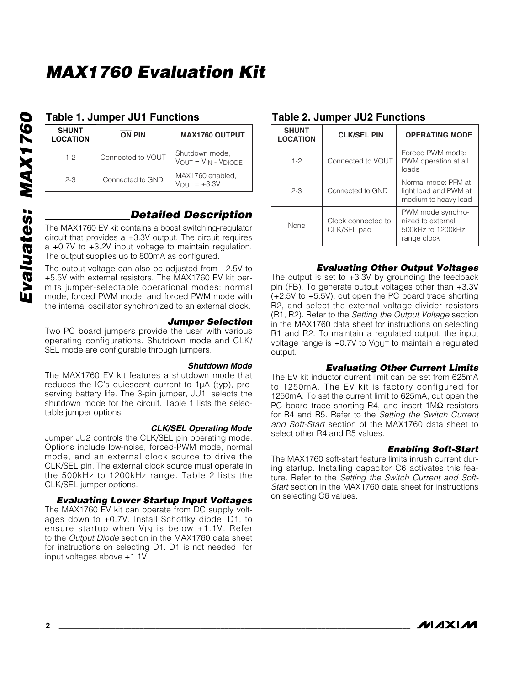# *MAX1760 Evaluation Kit*

# **SHUNT LOCATION ON PIN MAX1760 OUTPUT** 1-2 Connected to VOUT Shutdown mode,  $V_{OUT} = V_{IN} - V_{DIODE}$ 2-3 Connected to GND MAX1760 enabled,  $V_{OUT} = +3.3V$

# *Detailed Description*

The MAX1760 EV kit contains a boost switching-regulator circuit that provides a +3.3V output. The circuit requires a +0.7V to +3.2V input voltage to maintain regulation. The output supplies up to 800mA as configured.

The output voltage can also be adjusted from +2.5V to +5.5V with external resistors. The MAX1760 EV kit permits jumper-selectable operational modes: normal mode, forced PWM mode, and forced PWM mode with the internal oscillator synchronized to an external clock.

#### *Jumper Selection*

Two PC board jumpers provide the user with various operating configurations. Shutdown mode and CLK/ SEL mode are configurable through jumpers.

#### *Shutdown Mode*

The MAX1760 EV kit features a shutdown mode that reduces the IC's quiescent current to 1µA (typ), preserving battery life. The 3-pin jumper, JU1, selects the shutdown mode for the circuit. Table 1 lists the selectable jumper options.

#### *CLK/SEL Operating Mode*

Jumper JU2 controls the CLK/SEL pin operating mode. Options include low-noise, forced-PWM mode, normal mode, and an external clock source to drive the CLK/SEL pin. The external clock source must operate in the 500kHz to 1200kHz range. Table 2 lists the CLK/SEL jumper options.

#### *Evaluating Lower Startup Input Voltages*

The MAX1760 EV kit can operate from DC supply voltages down to +0.7V. Install Schottky diode, D1, to ensure startup when  $V_{IN}$  is below  $+1.1V$ . Refer to the *Output Diode* section in the MAX1760 data sheet for instructions on selecting D1. D1 is not needed for input voltages above +1.1V.

### **Table 1. Jumper JU1 Functions Table 2. Jumper JU2 Functions**

| <b>SHUNT</b><br><b>LOCATION</b> | <b>CLK/SEL PIN</b>                | <b>OPERATING MODE</b>                                                      |
|---------------------------------|-----------------------------------|----------------------------------------------------------------------------|
| $1 - 2$                         | Connected to VOUT                 | Forced PWM mode:<br>PWM operation at all<br>loads                          |
| $2 - 3$                         | Connected to GND                  | Normal mode: PFM at<br>light load and PWM at<br>medium to heavy load       |
| None                            | Clock connected to<br>CLK/SEL pad | PWM mode synchro-<br>nized to external<br>500kHz to 1200kHz<br>range clock |

#### *Evaluating Other Output Voltages*

The output is set to  $+3.3V$  by grounding the feedback pin (FB). To generate output voltages other than +3.3V (+2.5V to +5.5V), cut open the PC board trace shorting R2, and select the external voltage-divider resistors (R1, R2). Refer to the *Setting the Output Voltage* section in the MAX1760 data sheet for instructions on selecting R1 and R2. To maintain a regulated output, the input voltage range is +0.7V to VOUT to maintain a regulated output.

#### *Evaluating Other Current Limits*

The EV kit inductor current limit can be set from 625mA to 1250mA. The EV kit is factory configured for 1250mA. To set the current limit to 625mA, cut open the PC board trace shorting R4, and insert 1MΩ resistors for R4 and R5. Refer to the *Setting the Switch Current and Soft-Start* section of the MAX1760 data sheet to select other R4 and R5 values.

#### *Enabling Soft-Start*

The MAX1760 soft-start feature limits inrush current during startup. Installing capacitor C6 activates this feature. Refer to the *Setting the Switch Current and Soft-Start* section in the MAX1760 data sheet for instructions on selecting C6 values.

**MAXIM**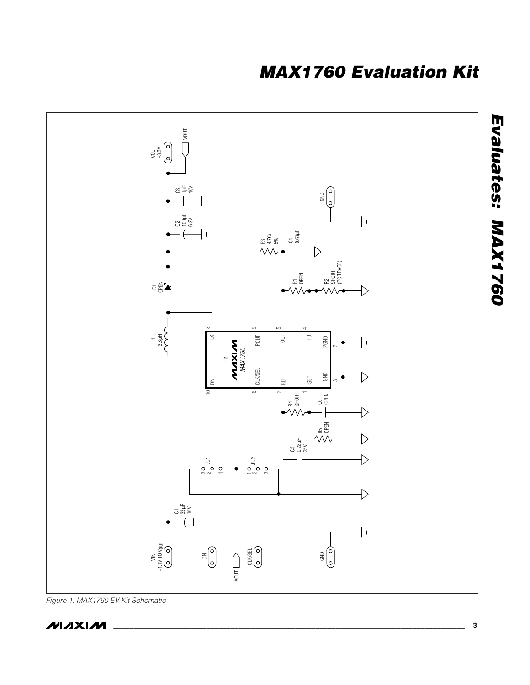# *MAX1760 Evaluation Kit*



*Figure 1. MAX1760 EV Kit Schematic*

$$
M\setminus X\setminus M
$$